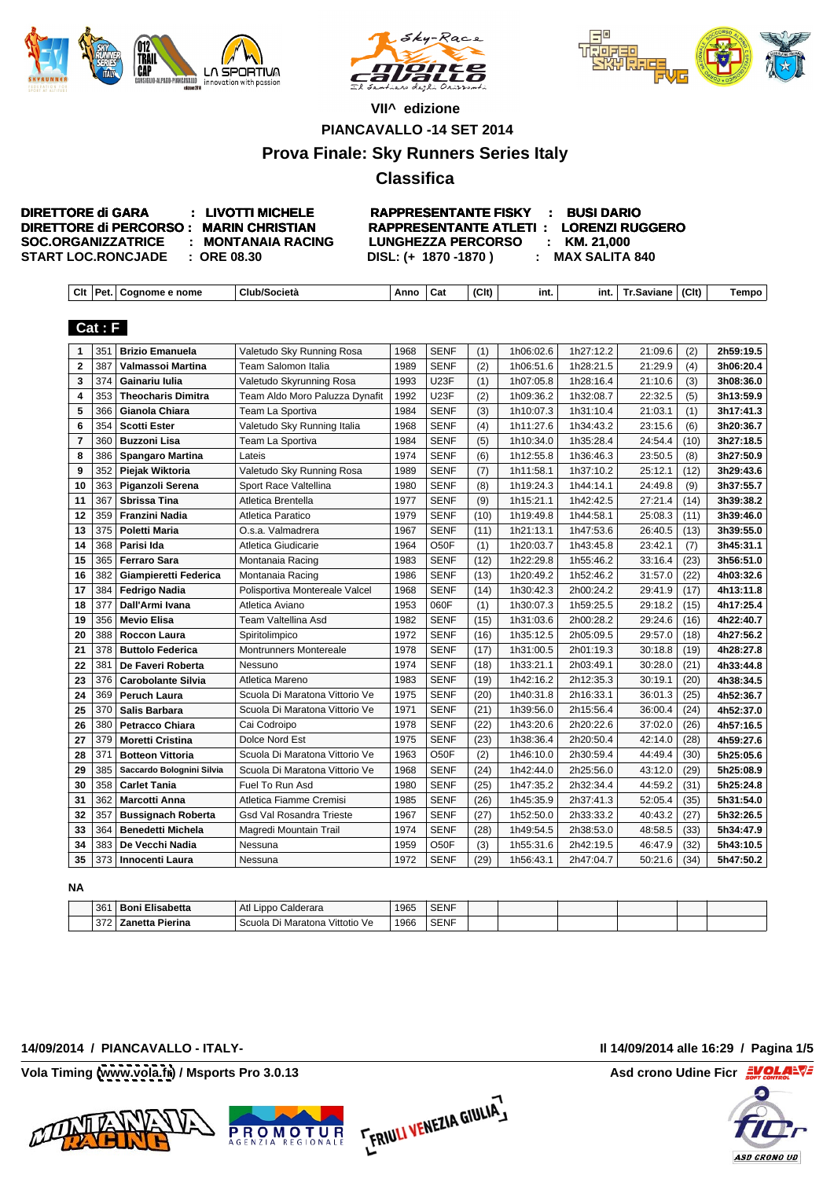





## **VII^ edizione**

**PIANCAVALLO -14 SET 2014**

# **Prova Finale: Sky Runners Series Italy**

# **Classifica**

| <b>DIRETTORE di GARA</b><br><b>LIVOTTI MICHELL</b>   | : BUSI DARIO<br><b>RAPPRESENTANTE FISKY</b>                      |  |  |
|------------------------------------------------------|------------------------------------------------------------------|--|--|
| DIRETTORE di PERCORSO : MARIN CHRISTIAN              | <b>1 : LORENZI RUGGERO</b><br><b>RAPPRESENTANTE ATLETI:</b>      |  |  |
| <b>SOC.ORGANIZZATRICE</b><br><b>MONTANAIA RACING</b> | KM. 21,000<br><b>LUNGHEZZA PERCORSO</b>                          |  |  |
| <b>START LOC.RONCJADE</b><br>: ORE 08.30             | <b>MAX SALITA 840</b><br><b>DISL: (+</b><br>$\cdot$ 1870 -1870 ) |  |  |
|                                                      |                                                                  |  |  |
| │ Clt │Pet.│Cognome e nome                           |                                                                  |  |  |

# **Cat : F**

| 1 351 Brizio Emanuela            | Valetudo Sky Running Rosa       | 1968 SENF   | (1)  | 1h06:02.6 | 1h27:12.2           | $21:09.6$ (2)   | 2h59:19.5 |
|----------------------------------|---------------------------------|-------------|------|-----------|---------------------|-----------------|-----------|
| 2 387 Valmassoi Martina          | Team Salomon Italia             | 1989 SENF   | (2)  | 1h06:51.6 | 1h28:21.5           | 21:29.9<br>(4)  | 3h06:20.4 |
| 3 374 Gainariu Iulia             | Valetudo Skyrunning Rosa        | 1993   U23F | (1)  | 1h07:05.8 | 1h28:16.4           | 21:10.6<br>(3)  | 3h08:36.0 |
| 4 353 Theocharis Dimitra         | Team Aldo Moro Paluzza Dynafit  | 1992 U23F   | (2)  | 1h09:36.2 | 1h32:08.7           | 22:32.5<br>(5)  | 3h13:59.9 |
| 5 366 Gianola Chiara             | Team La Sportiva                | 1984 SENF   | (3)  | 1h10:07.3 | 1h31:10.4           | 21:03.1         | 3h17:41.3 |
| 6 354 Scotti Ester               | Valetudo Sky Running Italia     | 1968   SENF | (4)  | 1h11:27.6 | 1h34:43.2           | 23:15.6         | 3h20:36.7 |
| 7 360 Buzzoni Lisa               | Team La Sportiva                | 1984   SENF | (5)  | 1h10:34.0 | 1h35:28.4           | 24:54.4         | 3h27:18.5 |
| 8 386   Spangaro Martina         | Lateis                          | 1974 SENF   | (6)  | 1h12:55.8 | 1h36:46.3           | 23:50.5<br>(8)  | 3h27:50.9 |
| 9 352 Piejak Wiktoria            | Valetudo Sky Running Rosa       | 1989 SENF   | (7)  | 1h11:58.1 | 1h37:10.2           | $25:12.1$ (12)  | 3h29:43.6 |
| 10   363   Piganzoli Serena      | Sport Race Valtellina           | 1980 SENF   | (8)  | 1h19:24.3 | 1h44:14.1           | $24:49.8$ (9)   | 3h37:55.7 |
| 11 367 Sbrissa Tina              | Atletica Brentella              | 1977 SENF   | (9)  | 1h15:21.1 | 1h42:42.5           | $27:21.4$ (14)  | 3h39:38.2 |
| 12   359   Franzini Nadia        | Atletica Paratico               | 1979 SENF   | (10) | 1h19:49.8 | 1h44:58.1           | 25:08.3         | 3h39:46.0 |
| 13   375   Poletti Maria         | O.s.a. Valmadrera               | 1967   SENF |      | 1h21:13.1 | 1h47:53.6           | 26:40.5         | 3h39:55.0 |
| 14 368   Parisi Ida              | Atletica Giudicarie             | 1964   O50F | (1)  | 1h20:03.7 | 1h43:45.8           | 23:42.1<br>(7)  | 3h45:31.1 |
| 15   365   Ferraro Sara          | Montanaia Racing                | 1983   SENF | (12) | 1h22:29.8 | 1h55:46.2           | $33:16.4$ (23)  | 3h56:51.0 |
| 16 382 Giampieretti Federica     | Montanaia Racing                | 1986 SENF   |      | 1h20:49.2 | 1h52:46.2           | $31:57.0$ (22)  | 4h03:32.6 |
| 17 384 Fedrigo Nadia             | Polisportiva Montereale Valcel  | 1968   SENF | (14) | 1h30:42.3 | 2h00:24.2           | $29:41.9$ (17)  | 4h13:11.8 |
| 18   377   Dall'Armi Ivana       | Atletica Aviano                 | 1953 060F   | (1)  | 1h30:07.3 | 1h59:25.5           | $29:18.2$ (15)  | 4h17:25.4 |
| 19   356   Mevio Elisa           | Team Valtellina Asd             | 1982 SENF   | (15) | 1h31:03.6 | 2h00:28.2           | $29:24.6$ (16)  | 4h22:40.7 |
| 20 388 Roccon Laura              | Spiritolimpico                  | 1972 SENF   | (16) | 1h35:12.5 | 2h05:09.5           | 29:57.0         | 4h27:56.2 |
| 21 378 Buttolo Federica          | <b>Montrunners Montereale</b>   | 1978   SENF | (17) | 1h31:00.5 | 2h01:19.3           | $30:18.8$ (19)  | 4h28:27.8 |
| 22 381 De Faveri Roberta         | Nessuno                         | 1974   SENF | (18) | 1h33:21.1 | 2h03:49.            | $30:28.0$ (21)  | 4h33:44.8 |
| 23 376 Carobolante Silvia        | Atletica Mareno                 | 1983 SENF   |      |           | 1h42:16.2 2h12:35.3 | 30:19.1<br>(20) | 4h38:34.5 |
| 24 369 Peruch Laura              | Scuola Di Maratona Vittorio Ve  | 1975   SENF | (20) | 1h40:31.8 | 2h16:33.1           | $36:01.3$ (25)  | 4h52:36.7 |
| 25 370 Salis Barbara             | Scuola Di Maratona Vittorio Ve  | 1971 SENF   | (21) | 1h39:56.0 | 2h15:56.4           | $36:00.4$ (24)  | 4h52:37.0 |
| 26 380   Petracco Chiara         | Cai Codroipo                    | 1978 SENF   | (22) | 1h43:20.6 | 2h20:22.6           | $37:02.0$ (26)  | 4h57:16.5 |
| 27   379   Moretti Cristina      | Dolce Nord Est                  | 1975 SENF   | (23) | 1h38:36.4 | 2h20:50.4           | $42:14.0$ (28)  | 4h59:27.6 |
| 28 371 Botteon Vittoria          | Scuola Di Maratona Vittorio Ve  | 1963   O50F | (2)  | 1h46:10.0 | 2h30:59.4           | 44:49.4 (30)    | 5h25:05.6 |
| 29 385 Saccardo Bolognini Silvia | Scuola Di Maratona Vittorio Ve  | 1968 SENF   | (24) | 1h42:44.0 | 2h25:56.0           | $43:12.0$ (29)  | 5h25:08.9 |
| 30 358 Carlet Tania              | Fuel To Run Asd                 | 1980 SENF   | (25) | 1h47:35.2 | 2h32:34.4           | $44:59.2$ (31)  | 5h25:24.8 |
| 31   362   Marcotti Anna         | Atletica Fiamme Cremis          | 1985 SENF   | (26) | 1h45:35.9 | 2h37:41.3           | $52:05.4$ (35)  | 5h31:54.0 |
| 32 357 Bussignach Roberta        | <b>Gsd Val Rosandra Trieste</b> | 1967 SENF   | (27) | 1h52:50.0 | 2h33:33.2           | $40:43.2$ (27)  | 5h32:26.5 |
| 33 364 Benedetti Michela         | Magredi Mountain Trail          | 1974 SENF   | (28) | 1h49:54.5 | 2h38:53.0           | $48:58.5$ (33)  | 5h34:47.9 |
| 34 383 De Vecchi Nadia           | Nessuna                         | 1959   O50F | (3)  | 1h55:31.6 | 2h42:19.5           | $46:47.9$ (32)  | 5h43:10.5 |
| 35 373 Innocenti Laura           | Nessuna                         | 1972 SENF   | (29) | 1h56:43.1 | 2h47:04.7           | $50:21.6$ (34)  | 5h47:50.2 |

**NA**

**ERIULI VENEZIA GIULIA,** 

### **14/09/2014 / PIANCAVALLO - ITALY- Il 14/09/2014 alle 16:29 / Pagina 1/5**



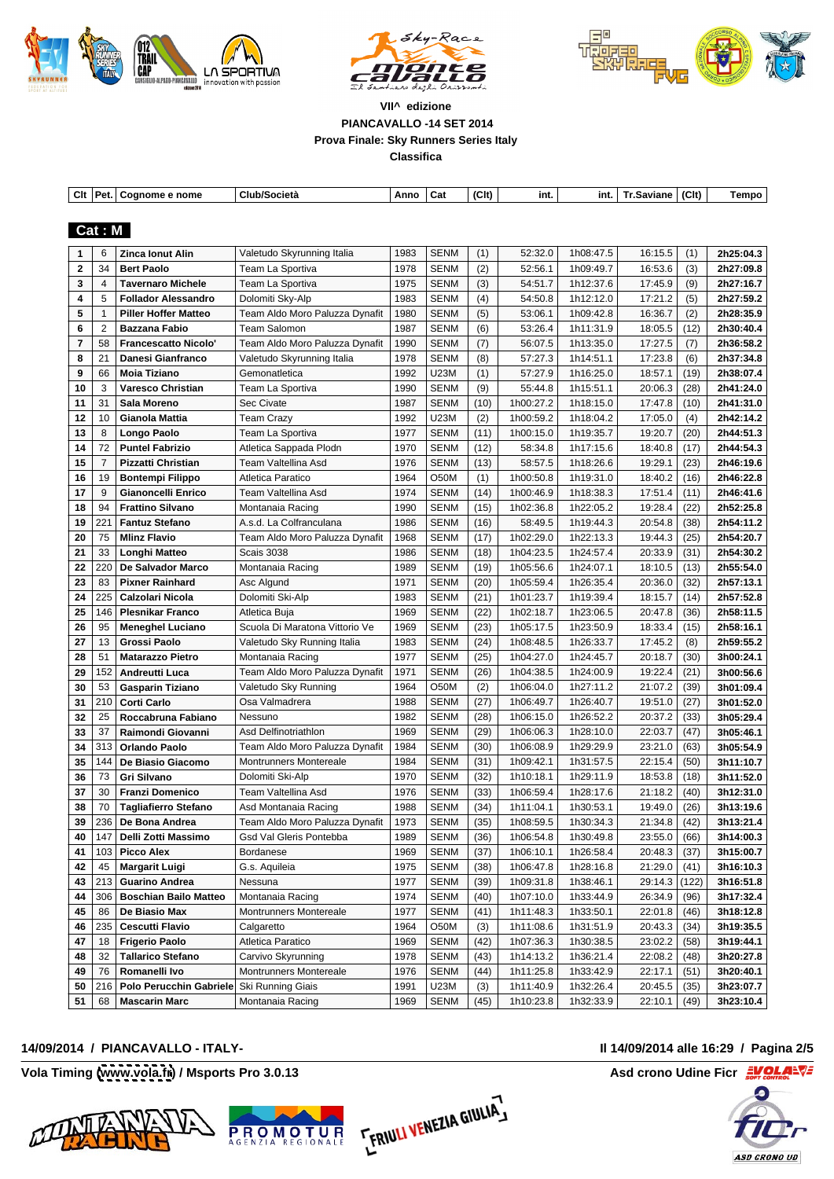





|                        | Clt   Pet.   Cognome e nome                          | Club/Società                                                                                             |
|------------------------|------------------------------------------------------|----------------------------------------------------------------------------------------------------------|
|                        |                                                      |                                                                                                          |
| Cat: M                 |                                                      |                                                                                                          |
|                        | 1 6 Zinca Ionut Alir                                 | Valetudo Skyrunning Italia                                                                               |
|                        | 2 34 Bert Paolo                                      | Team La Sportiva                                                                                         |
|                        | 3   4   Tavernaro Michele                            | Team La Sportiva                                                                                         |
|                        | 4 5 Follador Alessandro                              | Dolomiti Sky-Alp                                                                                         |
|                        | 5   1   Piller Hoffer Matteo                         | Team Aldo Moro Paluzza Dynafit   1980   SENM                                                             |
|                        | 6 2   Bazzana Fabio                                  | Team Salomon                                                                                             |
|                        | 7   58   Francescatto Nicolo'                        | Team Aldo Moro Paluzza Dynafit   1990   SENM                                                             |
|                        | 8   21   Danesi Gianfranco                           | √aletudo Skyrunning Italia                                                                               |
|                        | │ 9 │ 66 │Moia Tiziano                               | Gemonatletica                                                                                            |
|                        | 10 3 Varesco Christian                               | Team La Sportiva                                                                                         |
|                        | 11   31   Sala Moreno                                | Sec Civate                                                                                               |
|                        | 12   10   Gianola Mattia                             | Team Crazy                                                                                               |
| 13   8   Longo Paolo   | 14 72 Puntel Fabrizio                                | Team La Sportiva                                                                                         |
| $15 \mid 7$            | Pizzatti Christian                                   | Atletica Sappada Plodn<br>Team Valtellina Asd                                                            |
|                        | 16   19   Bontempi Filippo                           | Atletica Paratico                                                                                        |
|                        | 17   9   Gianoncelli Enrico                          | Team Valtellina Asd                                                                                      |
|                        | ∣ 18 ∣ 94 ∣ Frattino Silvano                         | Montanaia Racing                                                                                         |
|                        | 19   221   Fantuz Stefano                            | A.s.d. La Colfranculana                                                                                  |
|                        | 20   75   Mlinz Flavio                               | 1968 SENM<br>Team Aldo Moro Paluzza Dynafit                                                              |
|                        | 21 33   Longhi Matteo                                | Scais 3038                                                                                               |
|                        | 22 220 De Salvador Marco                             | Montanaia Racing                                                                                         |
|                        | 23   83   Pixner Rainhard                            | Asc Algund                                                                                               |
|                        | 24 225   Calzolari Nicola                            | Dolomiti Ski-Alp                                                                                         |
|                        | 25   146   Plesnikar Franco                          | Atletica Buia                                                                                            |
|                        | 26   95   Meneghel Luciano                           | Scuola Di Maratona Vittorio Ve                                                                           |
|                        | 27   13   Grossi Paolo                               | Valetudo Sky Running Italia                                                                              |
|                        | 28   51   Matarazzo Pietro                           | Montanaia Racing                                                                                         |
|                        | 29   152   Andreutti Luca                            | Team Aldo Moro Paluzza Dynafit   1971   SENM                                                             |
|                        | 30   53   Gasparin Tiziano                           | Valetudo Sky Running                                                                                     |
| 31   210   Corti Carlo |                                                      | Osa Valmadrera                                                                                           |
|                        | 32   25   Roccabruna Fabiano                         | Nessuno                                                                                                  |
|                        | 33   37   Raimondi Giovanni                          | Asd Delfinotriathlon                                                                                     |
|                        | 34 313 Orlando Paolo<br>35   144   De Biasio Giacomo | Team Aldo Moro Paluzza Dynafit   1984   SENM   (30)  <br>l Montrunners Montereale                        |
|                        | 36   73   Gri Silvano                                | Dolomiti Ski-Alp                                                                                         |
|                        | 37 30   Franzi Domenico                              | Team Valtellina Asd                                                                                      |
|                        | 38 70 Tagliafierro Stefano                           | Asd Montanaia Racing                                                                                     |
|                        | 39 $ 236 $ De Bona Andrea                            | Team Aldo Moro Paluzza Dynafit   1973   SENM   (35)   1h08:59.5   1h30:34.3   21:34.8   (42)   3h13:21.4 |
|                        | 40   147   Delli Zotti Massimo                       | <b>Gsd Val Gleris Pontebba</b>                                                                           |
| 41 $103$ Picco Alex    |                                                      | 1969 SENM (37) 1h06:10.1 1h26:58.4<br>Bordanese                                                          |
|                        | $ 42 45 $ Margarit Luigi                             | 1975 SENM (38) 1h06:47.8 1h28:16.8<br>G.s. Aquileia                                                      |
|                        | $ 43 213 $ Guarino Andrea                            | 1977   SENM   (39)   1h09:31.8   1h38:46.1  <br>Nessuna                                                  |
|                        | 44 306 Boschian Bailo Matteo                         | 1974 SENM<br>Montanaia Racing                                                                            |
|                        | $ 45 86 $ De Biasio Max                              | 1977   SENM   (41)   1h11:48.3   1h33:50.1<br><b>Montrunners Montereale</b>                              |
|                        | 46 235 Cescutti Flavio                               | 1964 O50M<br>Calgaretto                                                                                  |
|                        | 47   18   Frigerio Paolo                             | <b>Atletica Paratico</b>                                                                                 |
|                        | 48 32 Tallarico Stefano                              | 1978 SENM<br>Carvivo Skyrunning                                                                          |
|                        | 49 76 Romanelli Ivo                                  | Montrunners Montereale                                                                                   |
|                        | 50 216 Polo Perucchin Gabriele Ski Running Giais     | 1991 U23M (3) 1h11:40.9 1h32:26.4                                                                        |
|                        | $\vert$ 51 $\vert$ 68   Mascarin Marc                | Montanaia Racing                                                                                         |

### **14/09/2014 / PIANCAVALLO - ITALY- Il 14/09/2014 alle 16:29 / Pagina 2/5**







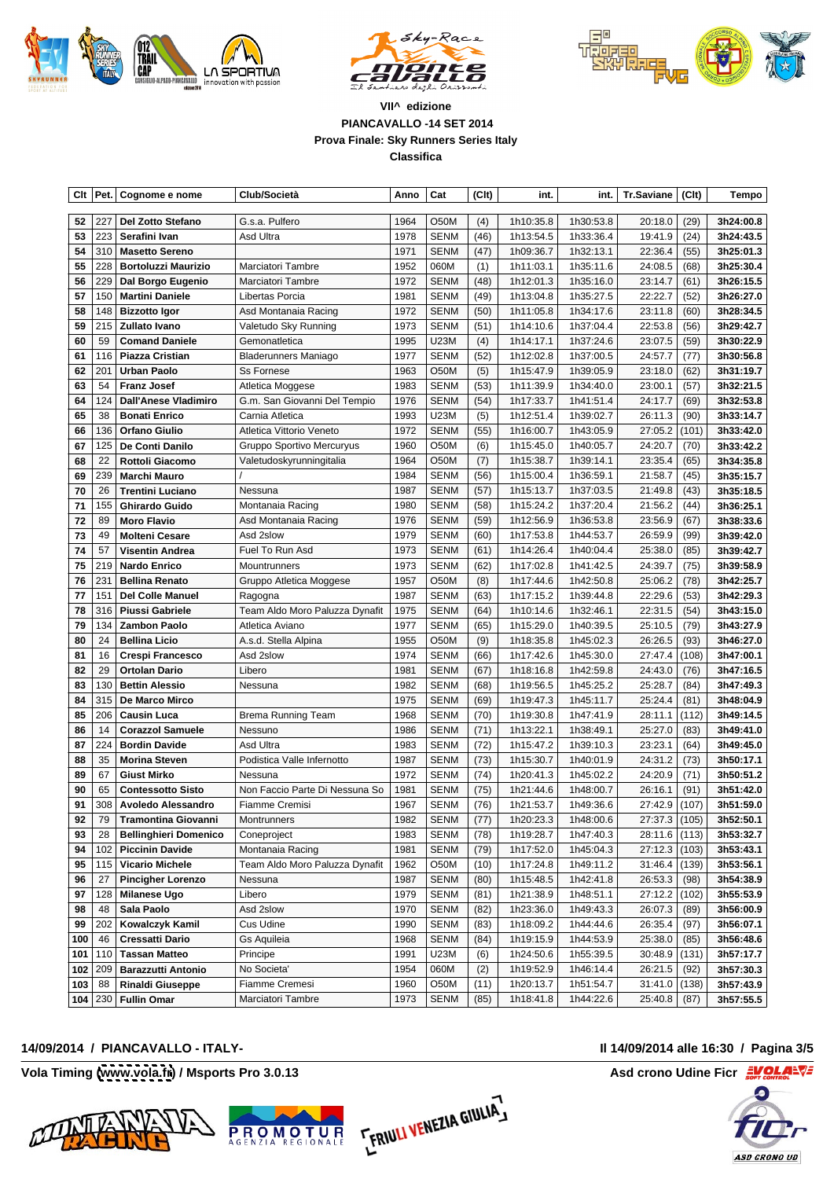





| $\vert$ Clt $\vert$ Pet. $\vert$ Cognome e nome      | Club/Società                                                                                                                                                   | Anno   Cat<br>(CIt)                                                                                                     | -int.                                               |                                  | int.   Tr.Saviane $ $ (Clt) $ $ |
|------------------------------------------------------|----------------------------------------------------------------------------------------------------------------------------------------------------------------|-------------------------------------------------------------------------------------------------------------------------|-----------------------------------------------------|----------------------------------|---------------------------------|
|                                                      |                                                                                                                                                                |                                                                                                                         |                                                     |                                  |                                 |
| 52 227 Del Zotto Stefano                             | G.s.a. Pulfero                                                                                                                                                 | 1964   O50M<br>(4)                                                                                                      |                                                     | 1h10:35.8 1h30:53.8              | 20:18.0 (29) <b>3h24:00.8</b>   |
| 53   223   Serafini Ivan                             | Asd Ultra                                                                                                                                                      | 1978 SENM<br>(46)                                                                                                       | 1h13:54.5                                           | 1h33:36.4 L                      | 19:41.9 (24)                    |
| 54 310 Masetto Sereno                                |                                                                                                                                                                | 1971   SENM<br>(47)                                                                                                     | 1h09:36.7                                           | 1h32:13.1                        | 22:36.4 (55)                    |
| 55 228 Bortoluzzi Maurizio                           | <b>Marciatori Tambre</b>                                                                                                                                       | 1952   060M<br>(1)                                                                                                      | 1h11:03.1   1h35:11.6                               |                                  | 24:08.5   (68)                  |
| 56 229 Dal Borgo Eugen                               | Marciatori Tambre                                                                                                                                              | 1972   SENM                                                                                                             | 1h12:01.3<br>1h35:16.0                              | 23:14.7 (61)                     |                                 |
| 57 150 Martini Daniele                               | Libertas Porcia                                                                                                                                                | 1981 SENM<br>(49)                                                                                                       | 1h13:04.8   1h35:27.5                               | 22:22.7   (52)                   |                                 |
| 58 148 Bizzotto Igor                                 | Asd Montanaia Racing                                                                                                                                           | 1972   SENM<br>(50)                                                                                                     | 1h11:05.8<br>1h34:17.6                              | 23:11.8 (60)                     |                                 |
| 59 215 Zullato Ivano                                 | Valetudo Sky Running                                                                                                                                           | 1973 SENM<br>(51)                                                                                                       | 1h14:10.6   1h37:04.4                               | 22:53.8 (56)                     |                                 |
| 60   59   Comand Daniel                              | Gemonatletica                                                                                                                                                  | $\overline{1995}$ U23M<br>(4)                                                                                           | 1h37:24.6<br>1h14:17.1                              | $23:07.5$ (59)                   | 3h30:22.9                       |
| 61   116   Piazza Cristian                           | <b>Bladerunners Maniago</b>                                                                                                                                    | 1977 SENM                                                                                                               | $(52)$ 1h12:02.8 1h37:00.5                          | 24:57.7 (77)                     | 3h30:56.8                       |
| 62   201   Urban Paolo                               | Ss Fornese                                                                                                                                                     | 1963   O50M<br>(5)                                                                                                      | 1h15:47.9<br>1h39:05.9                              | 23:18.0   (62)                   | 3h31:19.7                       |
| 63   54   Franz Josef                                | Atletica Moggese                                                                                                                                               | 1983 SENM<br>(53)                                                                                                       | 1h11:39.9   1h34:40.0                               | 23:00.1   (57)                   | 3h32:21.5                       |
| 64   124   Dall'Anese Vladimiro                      | G.m. San Giovanni Del Tempio                                                                                                                                   | 1976   SENM<br>(54)                                                                                                     | 1h17:33.7<br>1h41:51.4                              | 24:17.7 (69)                     | 3h32:53.8                       |
| 65   38   Bonati Enrico                              | Carnia Atletica                                                                                                                                                | 1993   U23M<br>(5)                                                                                                      | 1h12:51.4   1h39:02.7                               | 26:11.3   (90)                   | 3h33:14.7                       |
| 66   136   Orfano Giulio                             | Atletica Vittorio Veneto                                                                                                                                       | 1972   SENM                                                                                                             | 1h16:00.7<br>1h43:05.9                              | 27:05.2 (101)                    | 3h33:42.0                       |
| 67   125   De Conti Danilo                           | Gruppo Sportivo Mercuryus                                                                                                                                      | 1960 O50M<br>(6)                                                                                                        | 1h15:45.0   1h40:05.7                               | 24:20.7 (70)                     | 3h33:42.2                       |
| 68 22 Rottoli Giacomo                                | Valetudoskyrunningitalia                                                                                                                                       | 1964   O50M<br>(7)                                                                                                      | 1h15:38.7<br>1h39:14.1                              | 23:35.4 (65)                     | 3h34:35.8                       |
| 69   239   Marchi Mauro                              |                                                                                                                                                                | 1984 SENM<br>(56)                                                                                                       | 1h15:00.4   1h36:59.1                               | 21:58.7   (45)                   | 3h35:15.7                       |
| 70 26   Trentini Luciano                             | Nessuna                                                                                                                                                        | 1987 SENM<br>(57)                                                                                                       | 1h37:03.5<br>1h15:13.7                              | 21:49.8 (43)                     | 3h35:18.5                       |
| 71   155   Ghirardo Guido                            | Montanaia Racing                                                                                                                                               | 1980 SENM<br>(58)                                                                                                       | 1h15:24.2   1h37:20.4                               | 21:56.2   (44)                   | 3h36:25.1                       |
| 72   89   Moro Flavio                                | Asd Montanaia Racing                                                                                                                                           | 1976 SENM<br>(59)                                                                                                       | 1h12:56.9   1h36:53.8                               | 23:56.9 (67)                     | 3h38:33.6                       |
| 73   49   Molteni Cesare                             | Asd 2slow                                                                                                                                                      | 1979 SENM<br>(60)  <br>(61)                                                                                             | 1h17:53.8 1h44:53.7<br>$1h14:26.4$ 1h40:04.4        | 26:59.9   (99)                   | 3h39:42.0                       |
| 74   57   Visentin Andrea                            | Fuel To Run Asd                                                                                                                                                | 1973   SENM<br>1973 SENM                                                                                                |                                                     | 25:38.0 (85)                     | 3h39:42.7                       |
| 75   219   Nardo Enrico<br>76   231   Bellina Renato | Mountrunners<br>Gruppo Atletica Moggese                                                                                                                        | (62)<br>1957   O50M<br>(8)                                                                                              | 1h17:02.8<br>1h41:42.5<br>1h17:44.6 l<br>1h42:50.8  | 24:39.7 (75) 3h39:58.9           | 3h42:25.7                       |
| 77   151   Del Colle Manuel                          | Ragogna                                                                                                                                                        | 1987   SENM<br>(63)                                                                                                     | 1h17:15.2   1h39:44.8                               | 25:06.2 (78)                     |                                 |
| 78 316 Piussi Gabriel                                | Team Aldo Moro Paluzza Dynafit                                                                                                                                 | 1975   SENM<br>(64)                                                                                                     | 1h10:14.6   1h32:46.1                               | 22:29.6   (53)  <br>22:31.5 (54) | 3h42:29.3<br>3h43:15.0          |
| 79   134   Zambon Paolo                              | Atletica Aviano                                                                                                                                                | 1977 SENM                                                                                                               | 1h15:29.0<br>1h40:39.5                              | 25:10.5 (79) 3h43:27.9           |                                 |
| 80 24 Bellina Licio                                  | A.s.d. Stella Alpina                                                                                                                                           | 1955   O50M<br>(9)                                                                                                      | 1h18:35.8   1h45:02.3                               | 26:26.5 (93)                     | 3h46:27.0                       |
| 81   16   Crespi Francesc                            | Asd 2slow                                                                                                                                                      | 1974 SENM<br>(66)                                                                                                       | 1h17:42.6<br>1h45:30.0                              | 27:47.4   (108)                  | 3h47:00.1                       |
| 82 29 Ortolan Dario                                  | Libero                                                                                                                                                         | 1981 SENM<br>(67)                                                                                                       | 1h18:16.8   1h42:59.8                               | 24:43.0 (76) 3h47:16.5           |                                 |
| 83   130   Bettin Alessio                            | Nessuna                                                                                                                                                        | 1982 SENM                                                                                                               | 1h19:56.5<br>1h45:25.2                              | 25:28.7 (84)                     | 3h47:49.3                       |
| 84 315 De Marco Mirco                                |                                                                                                                                                                | 1975 SENM<br>(69)                                                                                                       | $1h19:47.3$ 1h45:11.7                               | 25:24.4   (81)                   | 3h48:04.9                       |
| 85   206   Causin Luca                               | <b>Brema Running Team</b>                                                                                                                                      | 1968 SENM                                                                                                               | 1h19:30.8<br>1h47:41.9                              | 28:11.1 (11                      | 3h49:14.5                       |
| 86   14   Corazzol Samuele                           | Nessuno                                                                                                                                                        | 1986 SENM<br>(71)                                                                                                       | 1h13:22.1   1h38:49.1                               | 25:27.0 (83)                     | 3h49:41.0                       |
| 87 224 Bordin David                                  | Asd Ultra                                                                                                                                                      | 1983   SENM                                                                                                             | 1h15:47.2<br>1h39:10.3                              | $23:23.1$ (64)                   | 3h49:45.0                       |
| 88   35   Morina Stever                              | Podistica Valle Infernotto                                                                                                                                     | 1987   SENM<br>(73)                                                                                                     | 1h15:30.7<br>1h40:01.9                              | 24:31.2 (73)                     | 3h50:17.1                       |
| 89   67   Giust Mirko                                | Nessuna                                                                                                                                                        | 1972   SENM                                                                                                             | 1h20:41.3<br>1h45:02.2                              | 24:20.9 (71                      | 3h50:51.2                       |
| 90   65   Contessotto Sisto                          | Non Faccio Parte Di Nessuna So   1981   SENM                                                                                                                   | (75)                                                                                                                    | 1h21:44.6  <br>1h48:00.7                            | 26:16.1   (91)                   | 3h51:42.0                       |
| 91 308 Avoledo Alessandro                            | Fiamme Cremisi                                                                                                                                                 | 1967 SENM<br>(76)                                                                                                       | 1h21:53.7   1h49:36.6                               | $27:42.9$ (107) 3h51:59.0        |                                 |
| 92   79   Tramontina Giovanni                        | Montrunners                                                                                                                                                    | 1982 SENM                                                                                                               | 1h20:23.3   1h48:00.6   27:37.3   (105)   3h52:50.1 |                                  |                                 |
| 93 28 Bellinghieri Domenico                          | Coneproject                                                                                                                                                    | 1983 SENM<br>(78)                                                                                                       | 1h19:28.7   1h47:40.3                               | $28:11.6$ (113) 3h53:32.7        |                                 |
| $\vert$ 94 $\vert$ 102 Piccinin Davide               | Montanaia Racing                                                                                                                                               | 1981 SENM                                                                                                               | $(79)$ 1h17:52.0 1h45:04.3 27:12.3 (103) 3h53:43.1  |                                  |                                 |
| 95 115 Vicario Michele                               |                                                                                                                                                                |                                                                                                                         |                                                     |                                  |                                 |
| 96   27   Pincigher Lorenzo                          | Team Aldo Moro Paluzza Dynafit 1962 050M (10) 1h17:24.8 1h49:11.2 31:46.4 (139) 3h53:56.1<br>Nessuna 1987 SENM (80) 1h15:48.5 1h42:41.8 26:53.3 (98) 3h54:38.9 |                                                                                                                         |                                                     |                                  |                                 |
| 97   128   Milanese Ugo                              | Libero                                                                                                                                                         | 1979 SENM (81) 1h21:38.9 1h48:51.1 27:12.2 (102) 3h55:53.9<br>1970 SENM (82) 1h23:36.0 1h49:43.3 26:07.3 (89) 3h56:00.9 |                                                     |                                  |                                 |
| 98   48   Sala Paolo                                 | Asd 2slow                                                                                                                                                      |                                                                                                                         |                                                     |                                  |                                 |
| 99 202   Kowalczyk Kamil                             | Cus Udine                                                                                                                                                      | $\sqrt{1990}$ SENM $\sqrt{83}$ 1h18:09.2 1h44:44.6 26:35.4 (97) 3h56:07.1                                               |                                                     |                                  |                                 |
| 100 46 Cressatti Dario                               | Gs Aquileia                                                                                                                                                    |                                                                                                                         |                                                     |                                  |                                 |
| 101 110 Tassan Matteo                                | Principe                                                                                                                                                       | 1991   U23M                                                                                                             | $(6)$ 1h24:50.6 1h55:39.5 30:48.9 (131) 3h57:17.7   |                                  |                                 |
| 102 209 Barazzutti Antonio                           | No Societa'                                                                                                                                                    | 1954   060M   (2)   1h19:52.9   1h46:14.4   26:21.5   (92)   <b>3h57:30.3</b>                                           |                                                     |                                  |                                 |
| 103 88 Rinaldi Giuseppe                              | Fiamme Cremesi                                                                                                                                                 | 1960   O50M   (11)   1h20:13.7   1h51:54.7   31:41.0   (138)   3h57:43.9                                                |                                                     |                                  |                                 |
| 104 230 Fullin Omar                                  | Marciatori Tambre                                                                                                                                              | 1973   SENM   (85)   1h18:41.8   1h44:22.6   25:40.8   (87)   3h57:55.5                                                 |                                                     |                                  |                                 |

### **14/09/2014 / PIANCAVALLO - ITALY- Il 14/09/2014 alle 16:30 / Pagina 3/5**





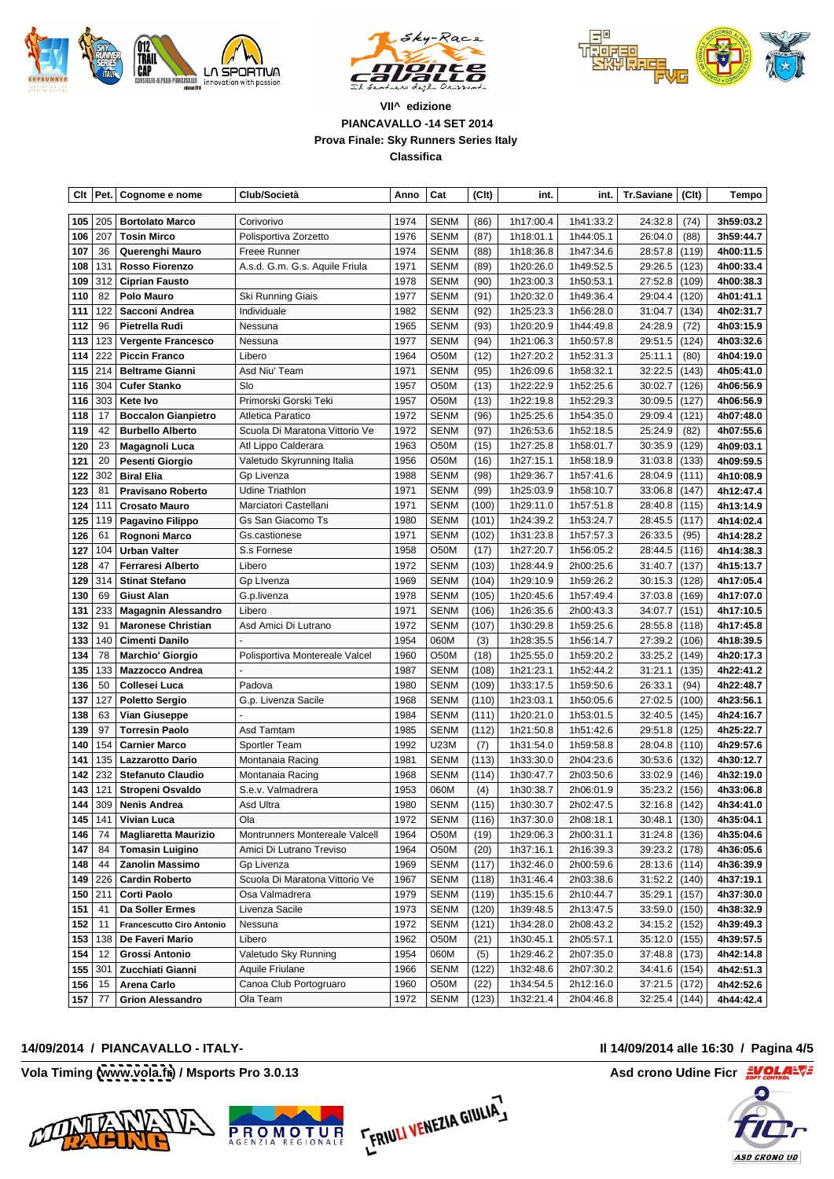





| Cit Pet. Cognome e nome                                      | Club/Società                   | Anno Cat                | $ $ (Clt)    |                       |                                                                            |                 | $int.$ Tr.Saviane $ $ (Clt) $ $ Tempo $ $                                 |
|--------------------------------------------------------------|--------------------------------|-------------------------|--------------|-----------------------|----------------------------------------------------------------------------|-----------------|---------------------------------------------------------------------------|
| 105 205 Bortolato Marco                                      | Corivorivo                     | 1974   SENM             |              |                       | 1h41:33.2                                                                  |                 |                                                                           |
| ⊦106 207   Tosin Mirco                                       | Polisportiva Zorzetto          | 1976 SENM               | (86)<br>(87) | 1h17:00.4<br>1h18:01. | 1h44:05.1                                                                  | 26:04.0   (88)  | $24:32.8$ (74) 3h59:03.2<br>3h59:44.7                                     |
| 107 36 Querenghi Mauro                                       | Freee Runner                   | $ 1974 $ SENM           | (88)         | 1h18:36.8             | 1h47:34.6                                                                  | $28:57.8$ (119) | 4h00:11.5                                                                 |
| 108   131   Rosso Fiorenzo                                   | A.s.d. G.m. G.s. Aquile Friula | 1971 SENM               | (89)         | 1h20:26.0             | 1h49:52.5                                                                  |                 | 29:26.5 (123) <b>4h00:33.4</b>                                            |
| 109 312 Ciprian Fausto                                       |                                | 1978 SENM               | (90)         | 1h23:00.3             | 1h50:53.1                                                                  |                 | $27:52.8 (109) $ 4h00:38.3                                                |
| 110 $82$ Polo Mauro                                          | Ski Running Giais              | 1977 SENM               | (91)         | 1h20:32.0             | 1h49:36.4                                                                  |                 | 29:04.4 (120) 4h01:41.1                                                   |
| 111 122 Sacconi Andrea                                       | Individuale                    | 1982 SENM               | (92)         | 1h25:23.              | 1h56:28.0                                                                  | $31:04.7$ (134) | $ $ 4h02:31.7                                                             |
| 112   96   Pietrella Rudi                                    | Nessuna                        | 1965 SENM               | (93)         | 1h20:20.9             | 1h44:49.8                                                                  | 24:28.9   (72)  | $ $ 4h03:15.9                                                             |
| 113   123   Vergente Francesco                               | Nessuna                        | 1977 SENM               | (94)         | 1h21:06.3             | 1h50:57.8                                                                  |                 | $29:51.5 (124) $ 4h03:32.6                                                |
| 114 222 Piccin Franco                                        | Libero                         | 1964   O50M             | $(12)$       | 1h27:20.2             | 1h52:31.3                                                                  | 25:11.1 (80)    | 4h04:19.0                                                                 |
| 115 214 Beltrame Gianni                                      | Asd Niu' Team                  | 1971 SENM               | (95)         | 1h26:09.6             | 1h58:32.1                                                                  |                 | 32:22.5   (143)   4h05:41.0                                               |
| 116 304 Cufer Stanko                                         | ∣ Slo                          | 1957 O50M               | (13)         | 1h22:22.9             | 1h52:25.6                                                                  |                 | $30:02.7$ (126) 4h06:56.9                                                 |
| 116 303 Kete Ivo                                             | Primorski Gorski Tek           | 1957   O50M             | (13)         | 1h22:19.8             | 1h52:29.3                                                                  | $30:09.5$ (127) | 4h06:56.9                                                                 |
| 118 17 Boccalon Gianpietro                                   | Atletica Paratico              | 1972 SENM               | (96)         | 1h25:25.6             | 1h54:35.0                                                                  |                 | 29:09.4 (121) 4h07:48.0                                                   |
| 119 42 Burbello Alberto                                      | Scuola Di Maratona Vittorio Ve | 1972 SENM               | (97)         | 1h26:53.6             | 1h52:18.5                                                                  | 25:24.9 (82)    | 4h07:55.6                                                                 |
| 120 23   Magagnoli Luca                                      | Atl Lippo Calderara            | 1963 O50M               | (15)         | 1h27:25.8             | 1h58:01.7                                                                  |                 | $30:35.9$ (129) 4h09:03.1                                                 |
| 121 20 Pesenti Giorgio                                       | Valetudo Skyrunning Italia     | 1956 O50M               | (16)         | 1h27:15.1             | 1h58:18.9                                                                  | $31:03.8$ (133) | 4h09:59.5                                                                 |
| 122 302 Biral Elia                                           | Gp Livenza                     | 1988 SENM               | (98)         | 1h29:36.7             | 1h57:41.6                                                                  | 28:04.9 (111)   | 4h10:08.9                                                                 |
| 123 81 Pravisano Roberto                                     | Udine Triathlon                | 1971 SENM               | (99)         | 1h25:03.9             | 1h58:10.7                                                                  |                 | $33:06.8$ (147) 4h12:47.4                                                 |
| 124   111   Crosato Mauro                                    | Marciatori Castellani          | 1971 SENM               | $(100)$      | 1h29:11.0             | 1h57:51.8                                                                  |                 | $28:40.8$ (115) 4h13:14.9                                                 |
| 125 119 Pagavino Filippo                                     | Gs San Giacomo Ts              | 1980 SENM               | (101)        | 1h24:39.2             | 1h53:24.7                                                                  | 28:45.5 (117)   | 4h14:02.4                                                                 |
| 126 61 Rognoni Marco                                         | Gs.castionese                  |                         |              |                       | 1971 SENM (102) 1h31:23.8 1h57:57.3                                        |                 | 26:33.5 (95) 4h14:28.2                                                    |
| 127 104 Urban Valter                                         | S.s Fornese                    | 1958 O50M               | (17)         | 1h27:20.7             | 1h56:05.2                                                                  | 28:44.5 (116)   | 4h14:38.3                                                                 |
| 128 47   Ferraresi Alberto                                   | Libero                         | 1972 SENM               | $(103)$      |                       | 1h28:44.9 2h00:25.6                                                        |                 | $31:40.7 (137) $ 4h15:13.7                                                |
| 129 314 Stinat Stefano                                       | Gp Livenza                     | 1969 SENM               | (104)        | 1h29:10.9             | 1h59:26.2                                                                  |                 | $30:15.3$ (128) 4h17:05.4                                                 |
| 130 69 Giust Alan                                            | G.p.livenza                    | 1978 SENM               | $(105)$      |                       | 1h20:45.6 1h57:49.4                                                        |                 | $37:03.8$ (169) 4h17:07.0                                                 |
| 131 233 Magagnin Alessandro                                  | Libero                         | 1971   SENM             | $(106)$      |                       | 1h26:35.6 2h00:43.3                                                        | $34:07.7$ (151) | 4h17:10.5                                                                 |
| 132 91   Maronese Christian                                  | Asd Amici Di Lutrano           | 1972   SENM             |              | 1h30:29.8             | 1h59:25.6                                                                  |                 | 28:55.8 (118) 4h17:45.8                                                   |
| 133 140 Cimenti Danilo                                       |                                | 1954 060M               | (3)          | 1h28:35.5             | 1h56:14.7                                                                  |                 | 27:39.2 (106) 4h18:39.5                                                   |
| 134 78 Marchio' Giorgio                                      | Polisportiva Montereale Valcel | 1960 O50M               | (18)         | 1h25:55.0             | 1h59:20.2                                                                  |                 | $33:25.2$ (149) 4h20:17.3                                                 |
| 135   133   Mazzocco Andrea                                  |                                | 1987 SENM               | (108)        | 1h21:23.1             | 1h52:44.2                                                                  |                 | $31:21.1$ (135) 4h22:41.2                                                 |
| 136 50 Collesei Luca                                         | Padova                         | 1980 SENM               |              | 1h33:17.              | 1h59:50.6                                                                  | $26:33.1$ (94)  | $ $ 4h22:48.7                                                             |
| 137   127   Poletto Sergio                                   | G.p. Livenza Sacile            | 1968 SENM               |              | $ (110) $ 1h23:03.1   | 1h50:05.6                                                                  |                 | $27:02.5$ (100) 4h23:56.1                                                 |
| 138 63 Vian Giuseppe                                         |                                | 1984<br>SENM            |              | 1h20:21.              | 1h53:01.5                                                                  |                 | $32:40.5$ (145) 4h24:16.7                                                 |
| 139 97 Torresin Paolo                                        | Asd Tamtam                     | 1985 SENM               | $(112)$      |                       | 1h21:50.8   1h51:42.6                                                      |                 | 29:51.8 (125) 4h25:22.7                                                   |
| 140 154 Carnier Marco                                        | Sportler Team                  | 1992   U23M             |              | 1h31:54.              | 1h59:58.8                                                                  | $28:04.8$ (110) | 4h29:57.6                                                                 |
| 141   135   Lazzarotto Dario                                 | Montanaia Racing               | 1981   SENM             | (113)        |                       | 1h33:30.0 2h04:23.6                                                        |                 | $30:53.6$ (132) $\vert$ 4h30:12.7                                         |
| 142 232 Stefanuto Claudio                                    | Montanaia Racing               | 1968 SENM               |              | 1h30:47.              | 2h03:50.6                                                                  |                 | $33:02.9$ (146) 4h32:19.0                                                 |
| 143 121 Stropeni Osvaldo                                     | S.e.v. Valmadrera              | 1953   060M             | (4)          | 1h30:38.7             | 2h06:01.9                                                                  |                 | 35:23.2 (156) 4h33:06.8                                                   |
| $\sqrt{144}$ 309 Nenis Andrea                                | Asd Ultra                      | 1980 SENM               | (115)        |                       | 1h30:30.7 2h02:47.5                                                        |                 | $32:16.8$ $(142)$ $4h34:41.0$                                             |
| 145   141   Vivian Luca                                      |                                | 1972 SENM               |              |                       | $ (116) $ 1h37:30.0 2h08:18.1                                              |                 | 30:48.1   (130)   4h35:04.1                                               |
| 146 74   Magliaretta Maurizio                                | Montrunners Montereale Valcell | 1964 O50M               | (19)         |                       | 1h29:06.3 2h00:31.1                                                        |                 | $31:24.8$ (136) 4h35:04.6                                                 |
| $ 147 $ 84   Tomasin Luiginc                                 | Amici Di Lutrano Treviso       | $\sqrt{1964}$ O50M (20) |              |                       | 1h37:16.1 2h16:39.3                                                        |                 | $39:23.2$ (178) 4h36:05.6                                                 |
| 148 44 Zanolin Massimo                                       | Gp Livenza                     |                         |              |                       |                                                                            |                 | 28:13.6 (114) 4h36:39.9                                                   |
| 149 226 Cardin Roberto                                       | Scuola Di Maratona Vittorio Ve |                         |              |                       | 1969 SENM (117) 1h32:46.0 2h00:59.6<br>1967 SENM (118) 1h31:46.4 2h03:38.6 |                 | $31:52.2 (140) $ 4h37:19.1                                                |
| $\boxed{150}$ 211 Corti Paolo                                | Osa Valmadrera                 |                         |              |                       | 1979 SENM (119) 1h35:15.6 2h10:44.7                                        |                 | 35:29.1   (157)   4h37:30.0                                               |
|                                                              |                                |                         |              |                       |                                                                            |                 | 1973 SENM (120) 1h39:48.5 2h13:47.5 33:59.0 (150) 4h38:32.9               |
| $151$ 41 Da Soller Ermes<br>152 11 Francescutto Ciro Antonio | Livenza Sacile                 |                         |              |                       | $\sqrt{1972}$ SENM $ (121) $ 1h34:28.0 2h08:43.2                           |                 |                                                                           |
|                                                              | Nessuna                        |                         |              |                       |                                                                            |                 | $34:15.2$ (152) 4h39:49.3                                                 |
| 153   138   De Faveri Mario                                  | Libero                         |                         |              |                       |                                                                            |                 | $35:12.0$ (155) 4h39:57.5                                                 |
| 154 12 Grossi Antonio                                        | Valetudo Sky Running           | 1954   060M             | (5)          |                       | 1h29:46.2 2h07:35.0<br>1966 SENM (122) 1h32:48.6 2h07:30.2                 |                 | $37:48.8$ (173) 4h42:14.8                                                 |
| 155 301 Zucchiati Giann                                      | Aquile Friulane                |                         |              |                       |                                                                            |                 | $34:41.6 (154) $ 4h42:51.3                                                |
| 156 15   Arena Carlo                                         | Canoa Club Portogruaro         | $ 1960 $ O50M $ (22) $  |              |                       | 1h34:54.5 2h12:16.0                                                        |                 | $37:21.5$ (172) 4h42:52.6                                                 |
| 157 77 Grion Alessandro                                      | Ola Team                       |                         |              |                       |                                                                            |                 | 1972   SENM $ (123) $ 1h32:21.4   2h04:46.8   32:25.4 $ (144) $ 4h44:42.4 |